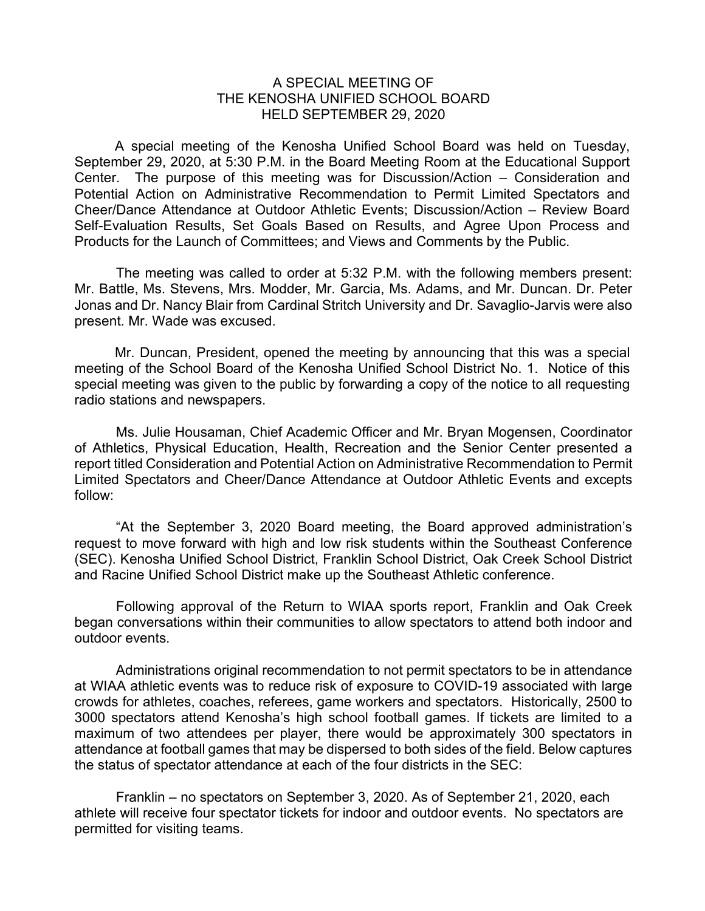## A SPECIAL MEETING OF THE KENOSHA UNIFIED SCHOOL BOARD HELD SEPTEMBER 29, 2020

A special meeting of the Kenosha Unified School Board was held on Tuesday, September 29, 2020, at 5:30 P.M. in the Board Meeting Room at the Educational Support Center. The purpose of this meeting was for Discussion/Action – Consideration and Potential Action on Administrative Recommendation to Permit Limited Spectators and Cheer/Dance Attendance at Outdoor Athletic Events; Discussion/Action – Review Board Self-Evaluation Results, Set Goals Based on Results, and Agree Upon Process and Products for the Launch of Committees; and Views and Comments by the Public.

The meeting was called to order at 5:32 P.M. with the following members present: Mr. Battle, Ms. Stevens, Mrs. Modder, Mr. Garcia, Ms. Adams, and Mr. Duncan. Dr. Peter Jonas and Dr. Nancy Blair from Cardinal Stritch University and Dr. Savaglio-Jarvis were also present. Mr. Wade was excused.

Mr. Duncan, President, opened the meeting by announcing that this was a special meeting of the School Board of the Kenosha Unified School District No. 1. Notice of this special meeting was given to the public by forwarding a copy of the notice to all requesting radio stations and newspapers.

Ms. Julie Housaman, Chief Academic Officer and Mr. Bryan Mogensen, Coordinator of Athletics, Physical Education, Health, Recreation and the Senior Center presented a report titled Consideration and Potential Action on Administrative Recommendation to Permit Limited Spectators and Cheer/Dance Attendance at Outdoor Athletic Events and excepts follow:

"At the September 3, 2020 Board meeting, the Board approved administration's request to move forward with high and low risk students within the Southeast Conference (SEC). Kenosha Unified School District, Franklin School District, Oak Creek School District and Racine Unified School District make up the Southeast Athletic conference.

Following approval of the Return to WIAA sports report, Franklin and Oak Creek began conversations within their communities to allow spectators to attend both indoor and outdoor events.

Administrations original recommendation to not permit spectators to be in attendance at WIAA athletic events was to reduce risk of exposure to COVID-19 associated with large crowds for athletes, coaches, referees, game workers and spectators. Historically, 2500 to 3000 spectators attend Kenosha's high school football games. If tickets are limited to a maximum of two attendees per player, there would be approximately 300 spectators in attendance at football games that may be dispersed to both sides of the field. Below captures the status of spectator attendance at each of the four districts in the SEC:

Franklin – no spectators on September 3, 2020. As of September 21, 2020, each athlete will receive four spectator tickets for indoor and outdoor events. No spectators are permitted for visiting teams.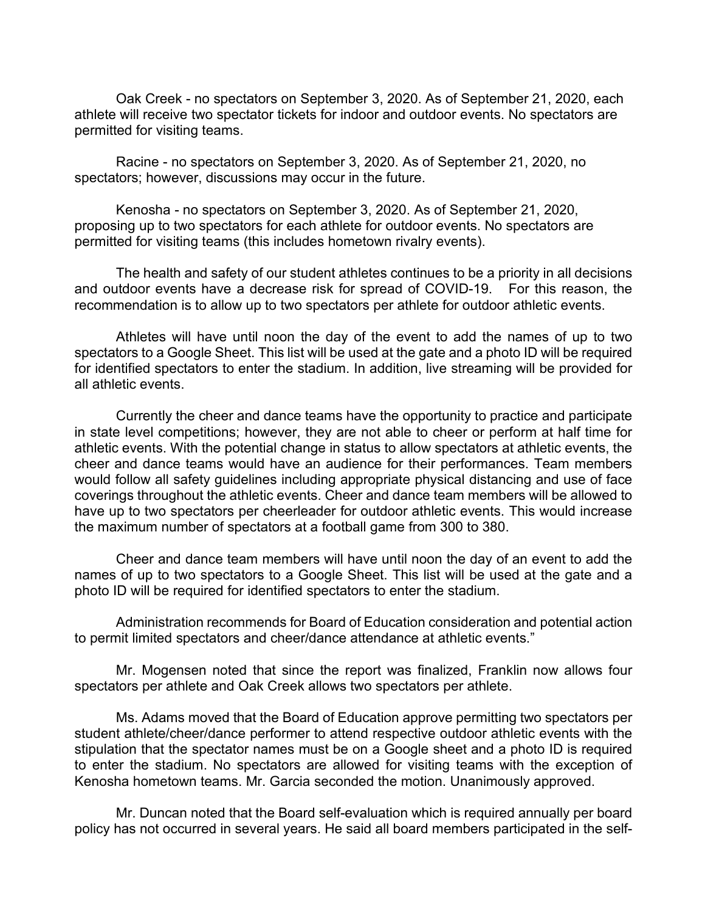Oak Creek - no spectators on September 3, 2020. As of September 21, 2020, each athlete will receive two spectator tickets for indoor and outdoor events. No spectators are permitted for visiting teams.

Racine - no spectators on September 3, 2020. As of September 21, 2020, no spectators; however, discussions may occur in the future.

Kenosha - no spectators on September 3, 2020. As of September 21, 2020, proposing up to two spectators for each athlete for outdoor events. No spectators are permitted for visiting teams (this includes hometown rivalry events).

The health and safety of our student athletes continues to be a priority in all decisions and outdoor events have a decrease risk for spread of COVID-19. For this reason, the recommendation is to allow up to two spectators per athlete for outdoor athletic events.

Athletes will have until noon the day of the event to add the names of up to two spectators to a Google Sheet. This list will be used at the gate and a photo ID will be required for identified spectators to enter the stadium. In addition, live streaming will be provided for all athletic events.

Currently the cheer and dance teams have the opportunity to practice and participate in state level competitions; however, they are not able to cheer or perform at half time for athletic events. With the potential change in status to allow spectators at athletic events, the cheer and dance teams would have an audience for their performances. Team members would follow all safety guidelines including appropriate physical distancing and use of face coverings throughout the athletic events. Cheer and dance team members will be allowed to have up to two spectators per cheerleader for outdoor athletic events. This would increase the maximum number of spectators at a football game from 300 to 380.

Cheer and dance team members will have until noon the day of an event to add the names of up to two spectators to a Google Sheet. This list will be used at the gate and a photo ID will be required for identified spectators to enter the stadium.

Administration recommends for Board of Education consideration and potential action to permit limited spectators and cheer/dance attendance at athletic events."

Mr. Mogensen noted that since the report was finalized, Franklin now allows four spectators per athlete and Oak Creek allows two spectators per athlete.

Ms. Adams moved that the Board of Education approve permitting two spectators per student athlete/cheer/dance performer to attend respective outdoor athletic events with the stipulation that the spectator names must be on a Google sheet and a photo ID is required to enter the stadium. No spectators are allowed for visiting teams with the exception of Kenosha hometown teams. Mr. Garcia seconded the motion. Unanimously approved.

Mr. Duncan noted that the Board self-evaluation which is required annually per board policy has not occurred in several years. He said all board members participated in the self